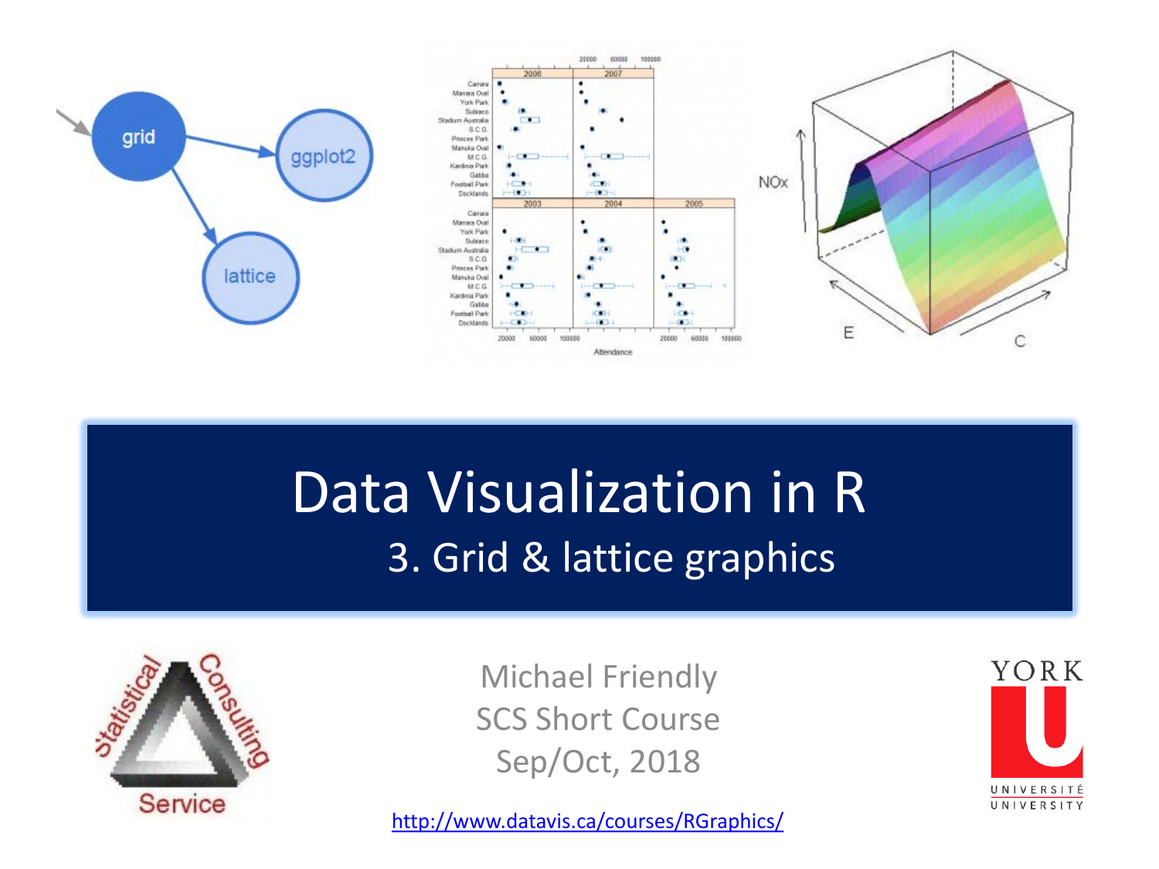

### Data Visualization in R 3. Grid & lattice graphics



Michael Friendly SCS Short Course Sep/Oct, 2018

<http://www.datavis.ca/courses/RGraphics/>

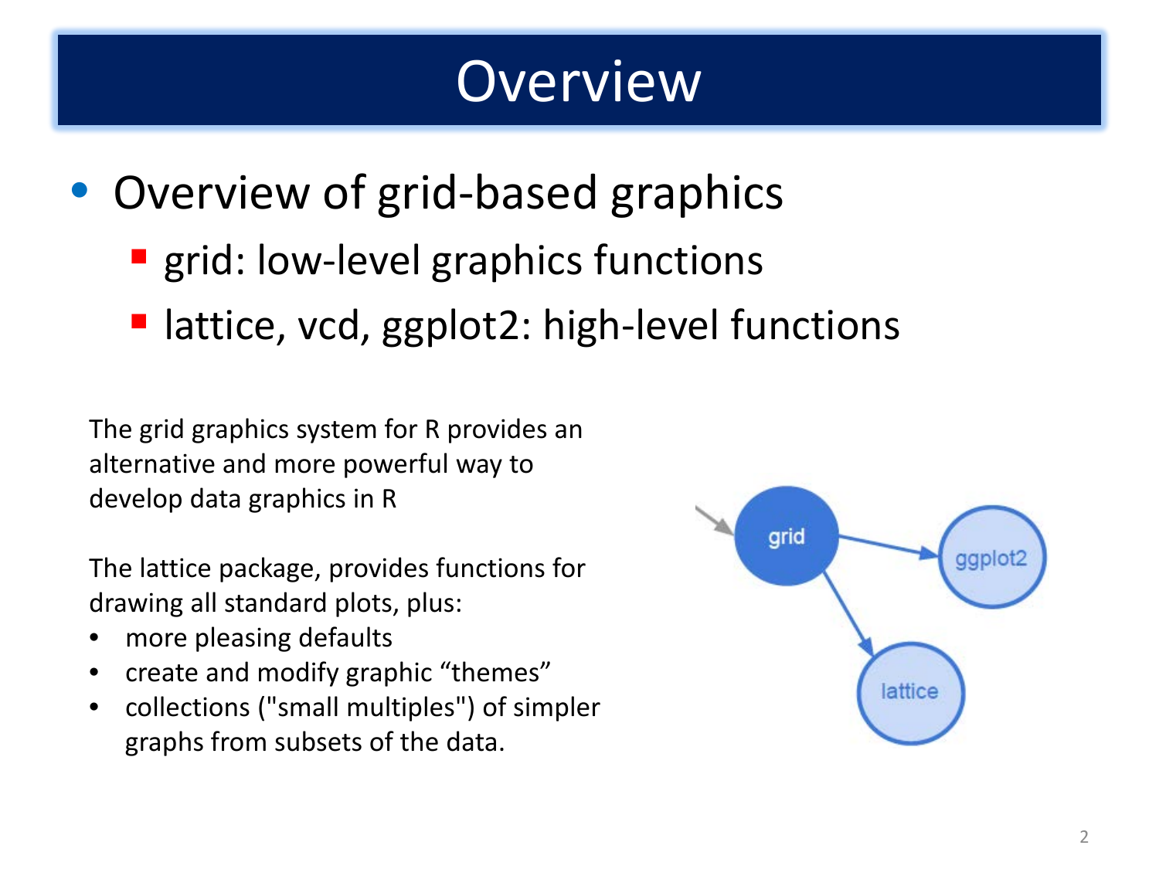### **Overview**

- Overview of grid-based graphics
	- **E** grid: low-level graphics functions
	- lattice, vcd, ggplot2: high-level functions

The grid graphics system for R provides an alternative and more powerful way to develop data graphics in R

The lattice package, provides functions for drawing all standard plots, plus:

- more pleasing defaults
- create and modify graphic "themes"
- collections ("small multiples") of simpler graphs from subsets of the data.

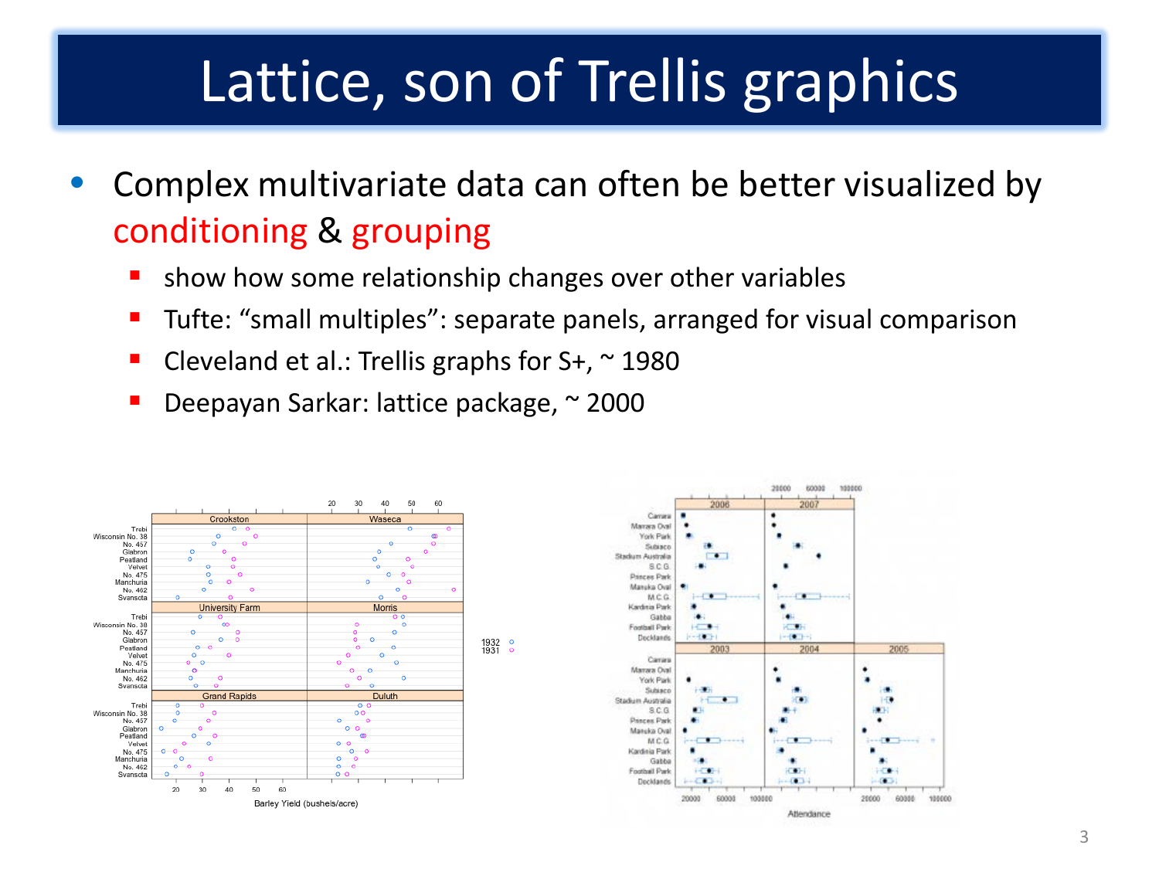# Lattice, son of Trellis graphics

- Complex multivariate data can often be better visualized by conditioning & grouping
	- show how some relationship changes over other variables
	- Tufte: "small multiples": separate panels, arranged for visual comparison
	- Cleveland et al.: Trellis graphs for  $S<sub>+</sub>$ ,  $\sim$  1980
	- Deepayan Sarkar: lattice package, ~ 2000



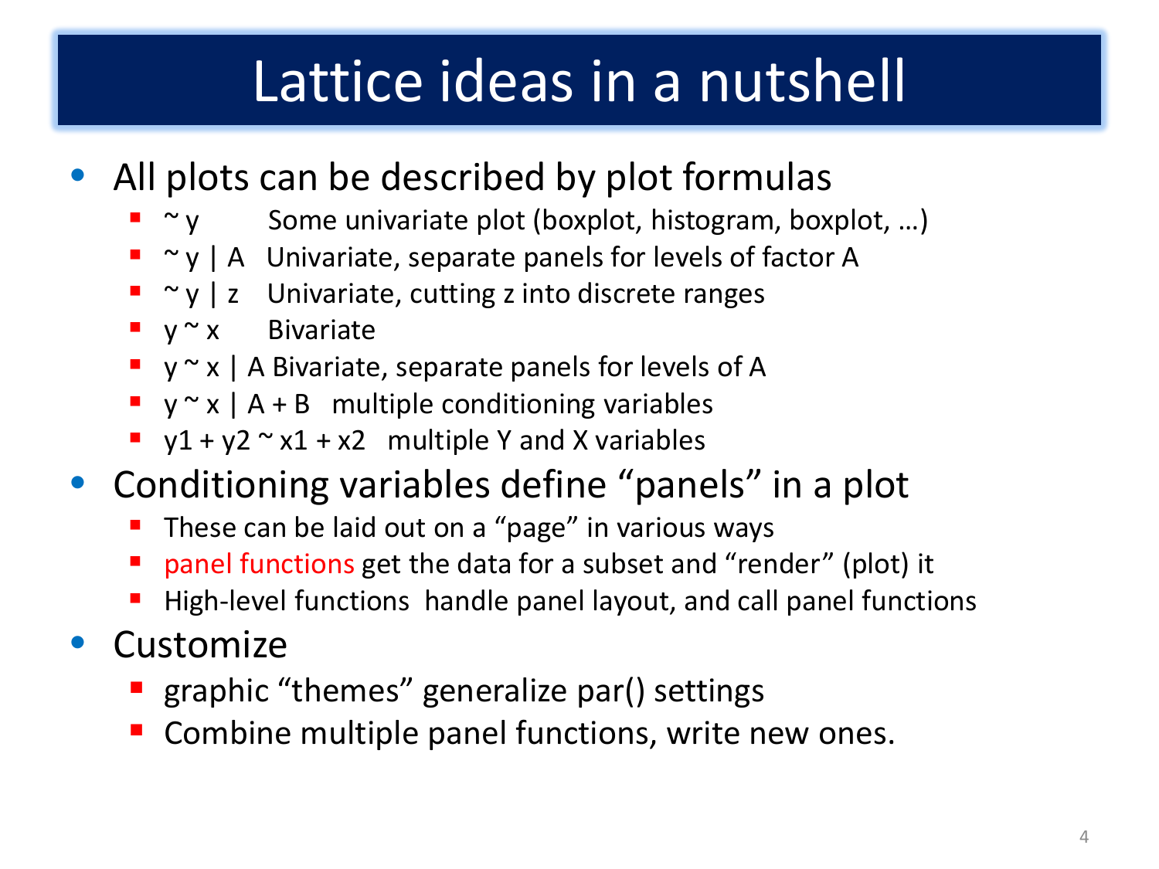# Lattice ideas in a nutshell

- All plots can be described by plot formulas
	- $\blacksquare$   $\sim$  y Some univariate plot (boxplot, histogram, boxplot, ...)
	- $\blacksquare$   $\sim$  y | A Univariate, separate panels for levels of factor A
	- $\blacksquare$   $\sim$  y | z Univariate, cutting z into discrete ranges
	- $\bullet$  y  $\sim$  x Bivariate
	- $\bullet$  y  $\sim$  x | A Bivariate, separate panels for levels of A
	- $\bullet$  y  $\sim$  x | A + B multiple conditioning variables
	- $\blacksquare$  y1 + y2  $\sim$  x1 + x2 multiple Y and X variables
- Conditioning variables define "panels" in a plot
	- These can be laid out on a "page" in various ways
	- panel functions get the data for a subset and "render" (plot) it
	- High-level functions handle panel layout, and call panel functions
- Customize
	- **•** graphic "themes" generalize par() settings
	- **Combine multiple panel functions, write new ones.**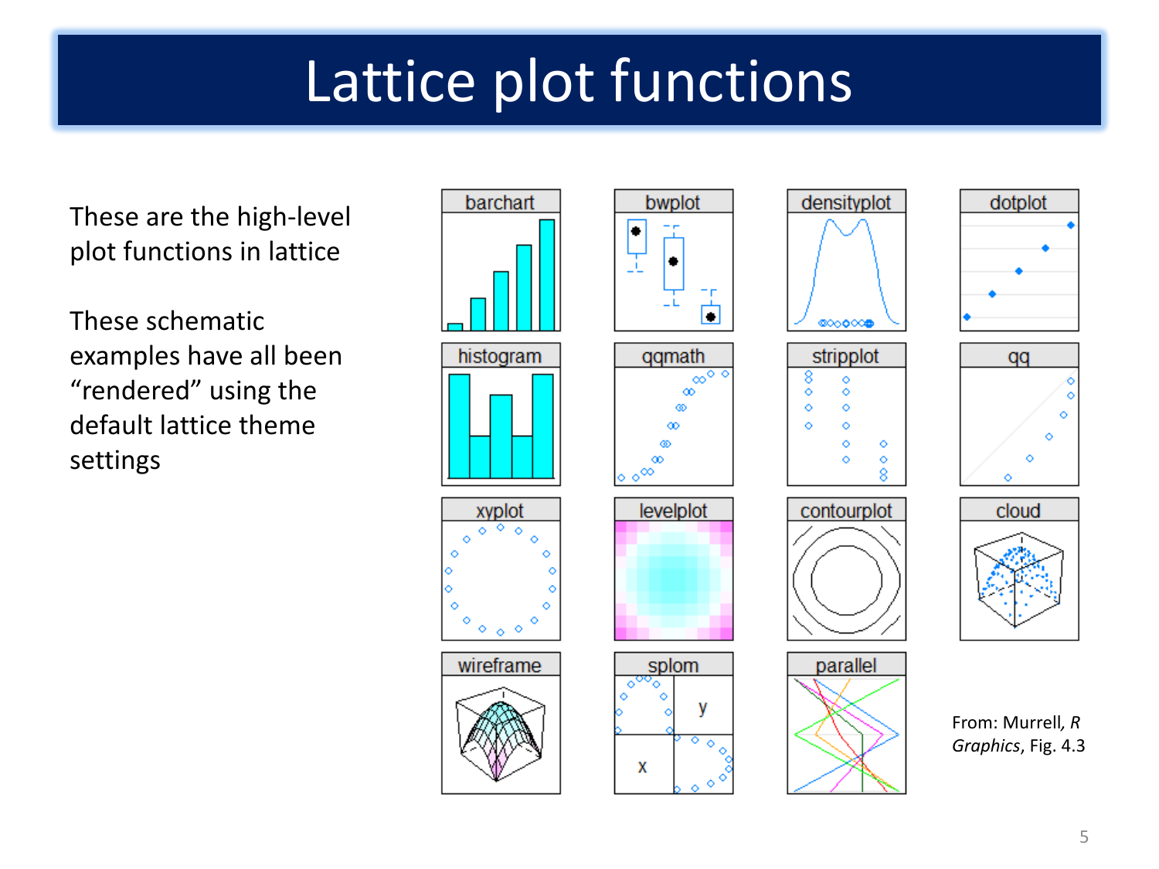# Lattice plot functions

These are the high-level plot functions in lattice

These schematic examples have all been "rendered" using the default lattice theme settings





| gmath                 |  |  |  |  |
|-----------------------|--|--|--|--|
| $\infty$              |  |  |  |  |
| œ.<br>ത               |  |  |  |  |
| œ                     |  |  |  |  |
| ത                     |  |  |  |  |
| ∞                     |  |  |  |  |
| $\circ^{\infty}$<br>o |  |  |  |  |



















From: Murrell*, R Graphics*, Fig. 4.3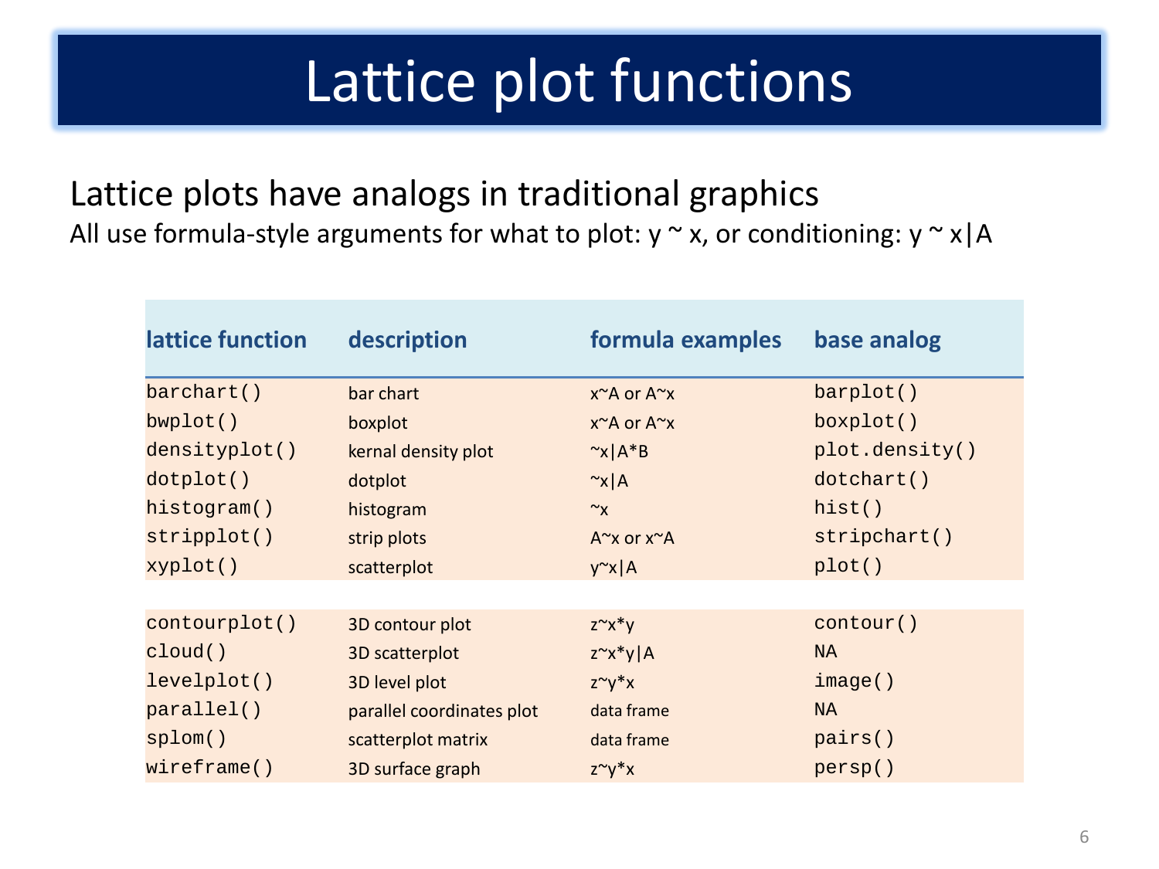# Lattice plot functions

#### Lattice plots have analogs in traditional graphics All use formula-style arguments for what to plot:  $y \sim x$ , or conditioning:  $y \sim x/A$

| lattice function | description               | formula examples            | base analog    |
|------------------|---------------------------|-----------------------------|----------------|
| barchart()       | bar chart                 | x~A or A~x                  | barplot()      |
| bwplot()         | boxplot                   | x~A or A~x                  | boxplot()      |
| densityplot()    | kernal density plot       | $\alpha$   A*B              | plot.density() |
| dotplot()        | dotplot                   | $\sim x \mid A$             | dotchart()     |
| histogram()      | histogram                 | $\sim_{\mathsf{X}}$         | hist()         |
| stripplot()      | strip plots               | $A^{\sim}$ x or $x^{\sim}A$ | stripchart()   |
| xyplot()         | scatterplot               | $y^{\sim}x$   A             | plot()         |
|                  |                           |                             |                |
| contourplot()    | 3D contour plot           | $Z^{\sim}X^*Y$              | contour()      |
| cloud()          | 3D scatterplot            | $z^x x^* y   A$             | <b>NA</b>      |
| levelplot()      | 3D level plot             | $Z^{\sim}Y^*X$              | image()        |
| parallel()       | parallel coordinates plot | data frame                  | <b>NA</b>      |
| splom()          | scatterplot matrix        | data frame                  | pairs()        |
| wireframe()      | 3D surface graph          | $Z^{\sim}V^*X$              | persp()        |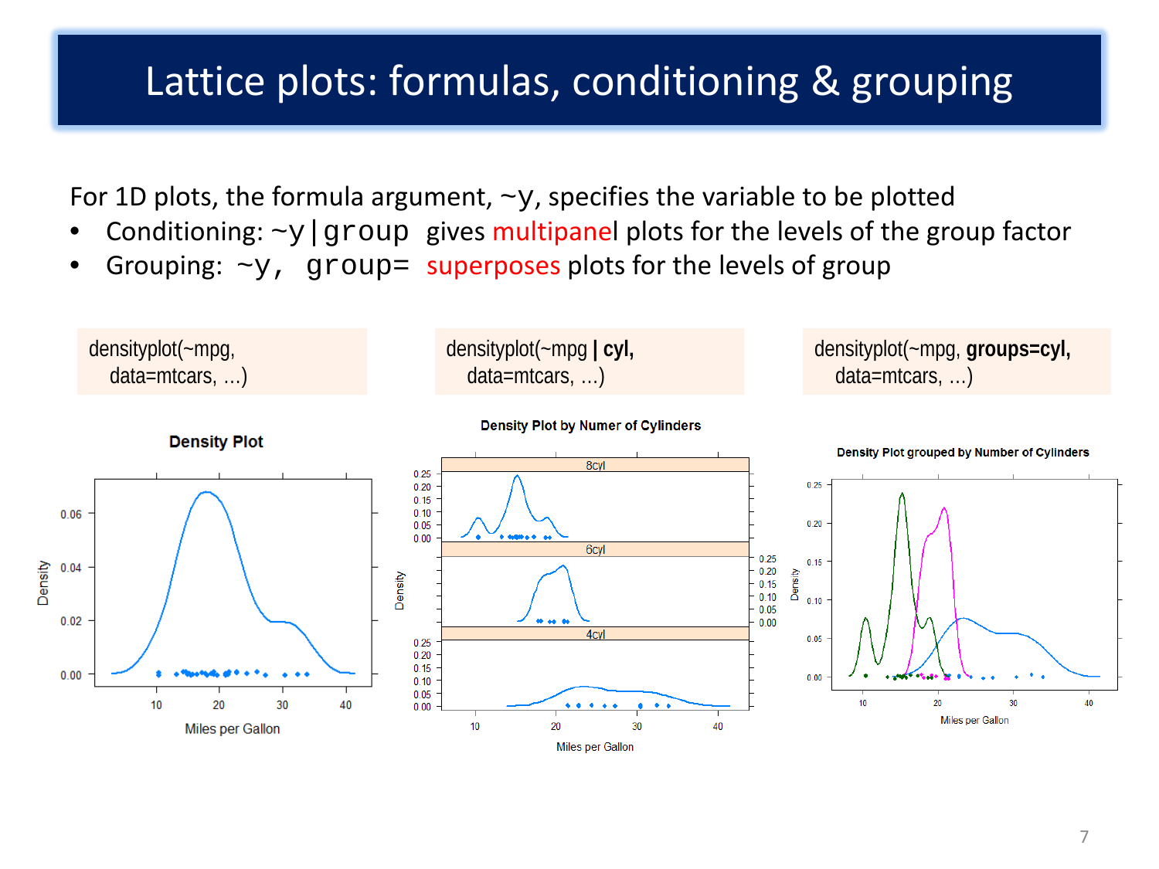#### Lattice plots: formulas, conditioning & grouping

For 1D plots, the formula argument,  $\sim y$ , specifies the variable to be plotted

- Conditioning:  $-y$  group gives multipanel plots for the levels of the group factor
- Grouping:  $\sim$ y, group= superposes plots for the levels of group

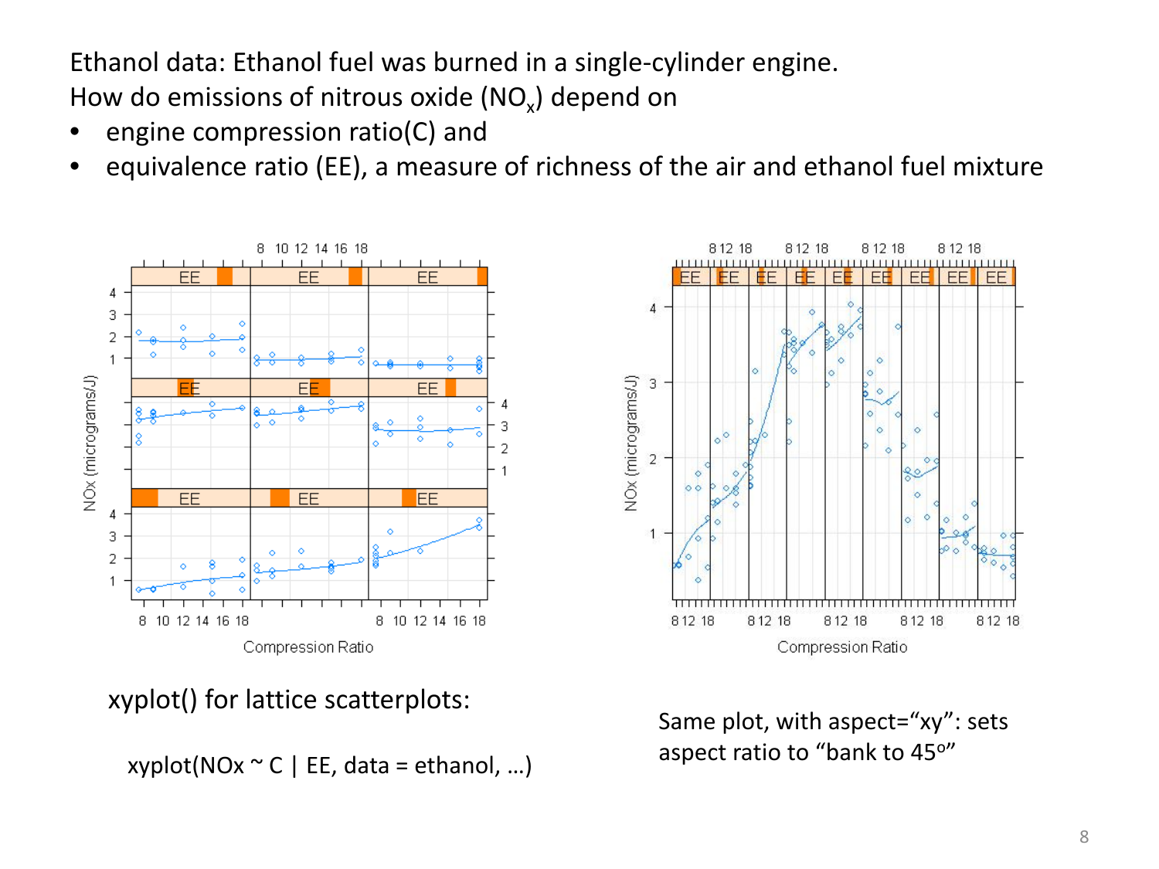Ethanol data: Ethanol fuel was burned in a single-cylinder engine. How do emissions of nitrous oxide  $(NO_x)$  depend on

- engine compression ratio(C) and
- equivalence ratio (EE), a measure of richness of the air and ethanol fuel mixture



xyplot() for lattice scatterplots:

xyplot(NOx  $\sim$  C | EE, data = ethanol, ...)



Same plot, with aspect="xy": sets aspect ratio to "bank to 45°"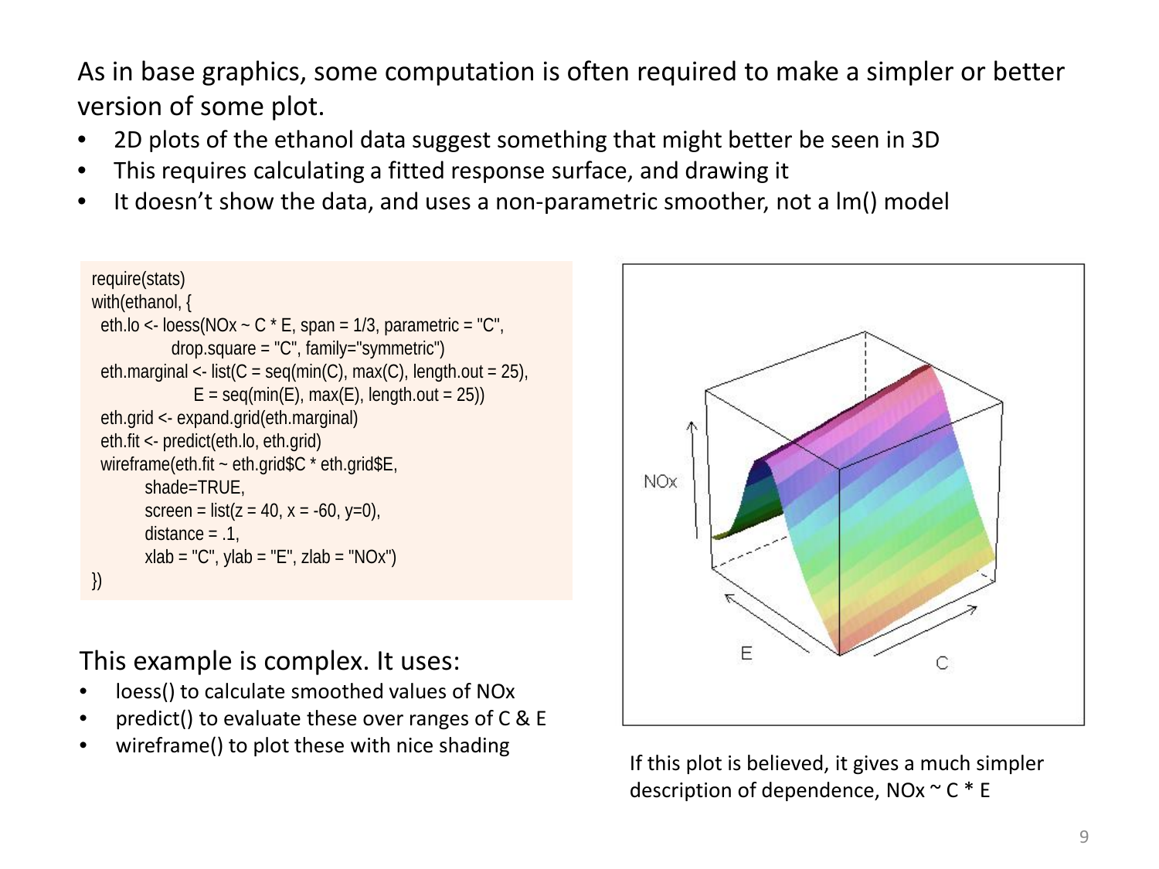As in base graphics, some computation is often required to make a simpler or better version of some plot.

- 2D plots of the ethanol data suggest something that might better be seen in 3D
- This requires calculating a fitted response surface, and drawing it
- It doesn't show the data, and uses a non-parametric smoother, not a lm() model

```
require(stats)
with(ethanol, {
 eth.lo <- loess(NOx \sim C * E, span = 1/3, parametric = "C",
              drop.square = "C", family="symmetric")
 eth.marginal <- list(C = \text{seq}(\text{min}(C), \text{max}(C), \text{length.out} = 25),
                 E = \text{seq}(\text{min}(E), \text{max}(E), \text{length.out} = 25) eth.grid <- expand.grid(eth.marginal)
  eth.fit <- predict(eth.lo, eth.grid)
 wireframe(eth.fit ~ eth.grid$C * eth.grid$E,
         shade=TRUE,
        screen = list(z = 40, x = -60, y=0),
        distance = .1,
        xlab = "C", ylab = "E", zlab = "NOx")
})
```
This example is complex. It uses:

- loess() to calculate smoothed values of NO<sub>x</sub>
- predict() to evaluate these over ranges of  $C & E$
- wireframe() to plot these with nice shading<br>If this plot is believed, it gives a much simpler



description of dependence,  $NOx \sim C * E$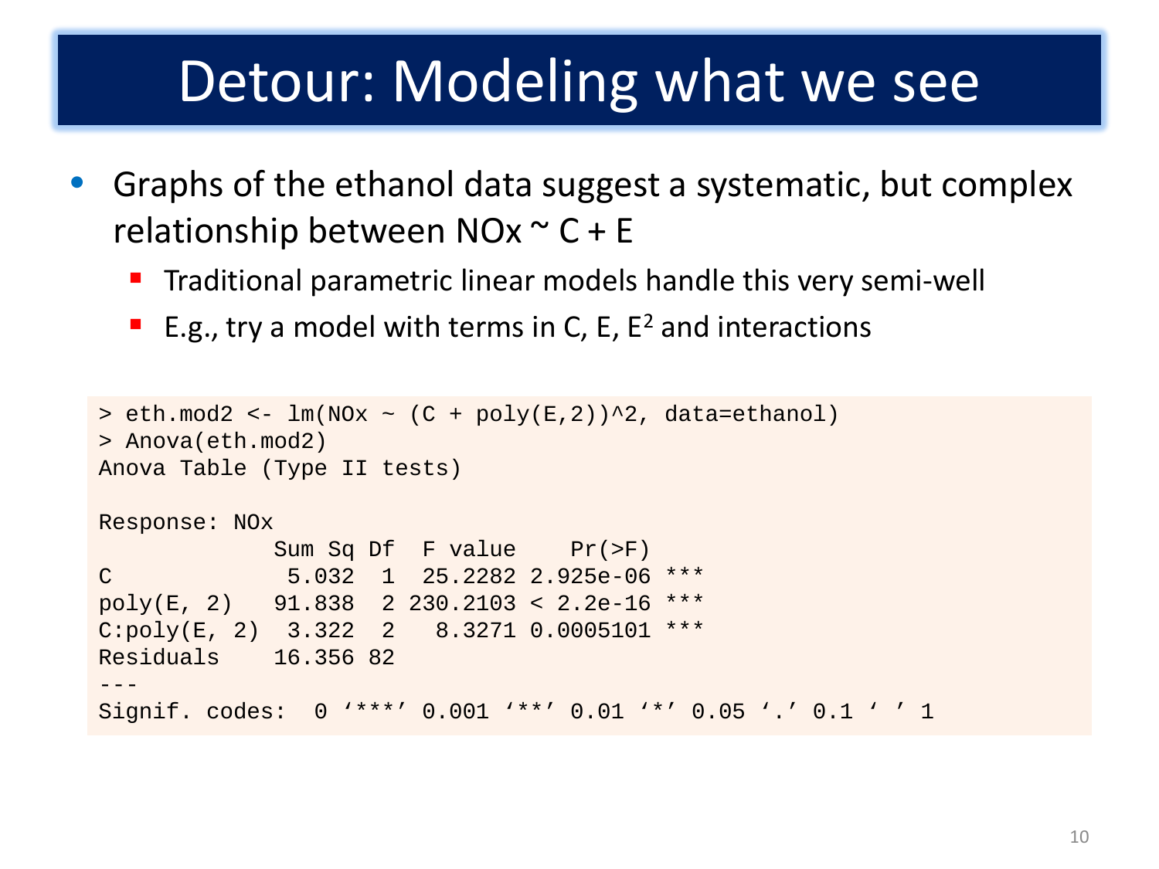### Detour: Modeling what we see

- Graphs of the ethanol data suggest a systematic, but complex relationship between NOx  $\sim$  C + E
	- **Traditional parametric linear models handle this very semi-well**
	- **E.g., try a model with terms in C, E, E<sup>2</sup> and interactions**

```
> eth.mod2 <- lm(NOx \sim (C + poly(E,2))^2, data=ethanol)
> Anova(eth.mod2)
Anova Table (Type II tests)
Response: NOx
             Sum Sq Df F value Pr(>F) 
C 5.032 1 25.2282 2.925e-06 ***
poly(E, 2) 91.838 2 230.2103 < 2.2e-16 ***
C:poly(E, 2) 3.322 2 8.3271 0.0005101 ***
Residuals 16.356 82 
---
Signif. codes: 0 '***' 0.001 '**' 0.01 '*' 0.05 '.' 0.1 ' ' 1
```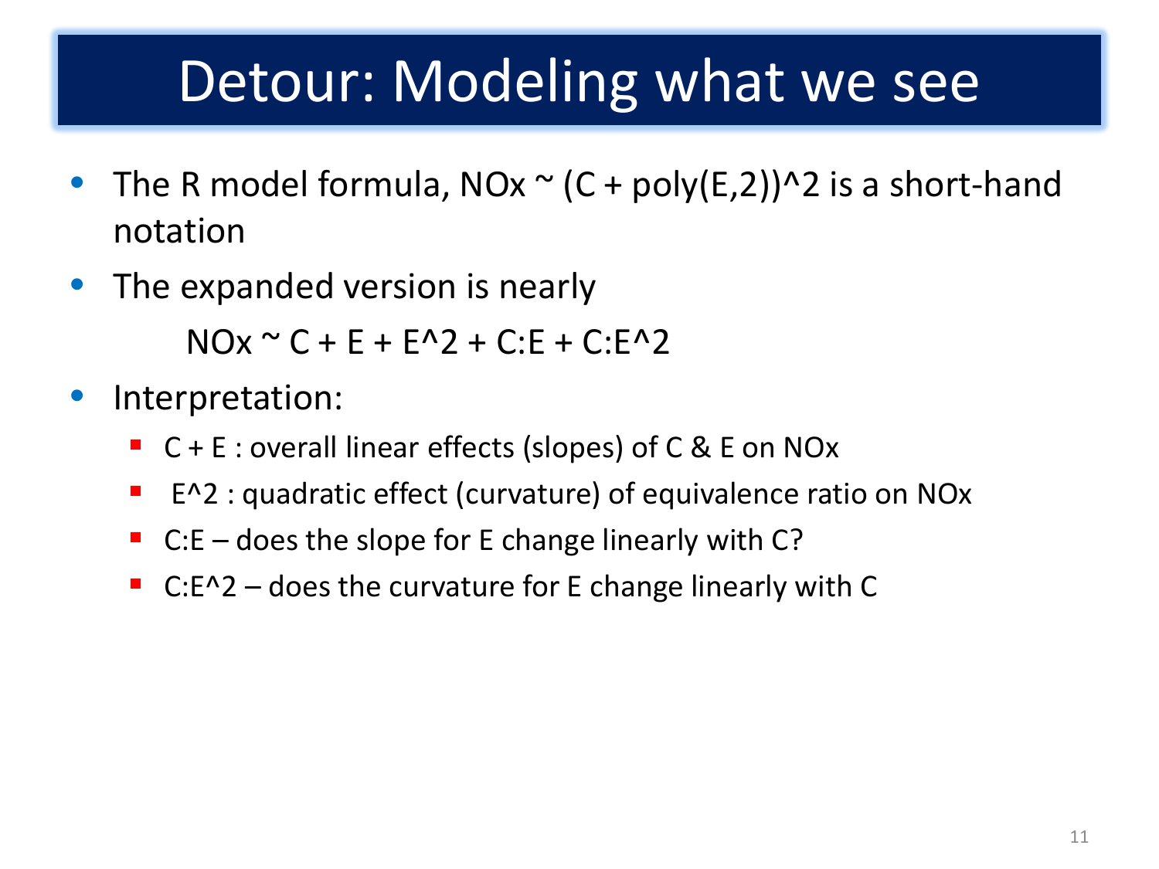### Detour: Modeling what we see

- The R model formula,  $NOX \sim (C + poly(E, 2))$ <sup>2</sup> is a short-hand notation
- The expanded version is nearly

 $NQx \sim C + F + F^{2}$  + C:F + C:F<sup>2</sup>

- Interpretation:
	- C + E : overall linear effects (slopes) of C & E on NOx
	- E^2 : quadratic effect (curvature) of equivalence ratio on NOx
	- $C.E -$  does the slope for E change linearly with C?
	- C:E^2 does the curvature for E change linearly with C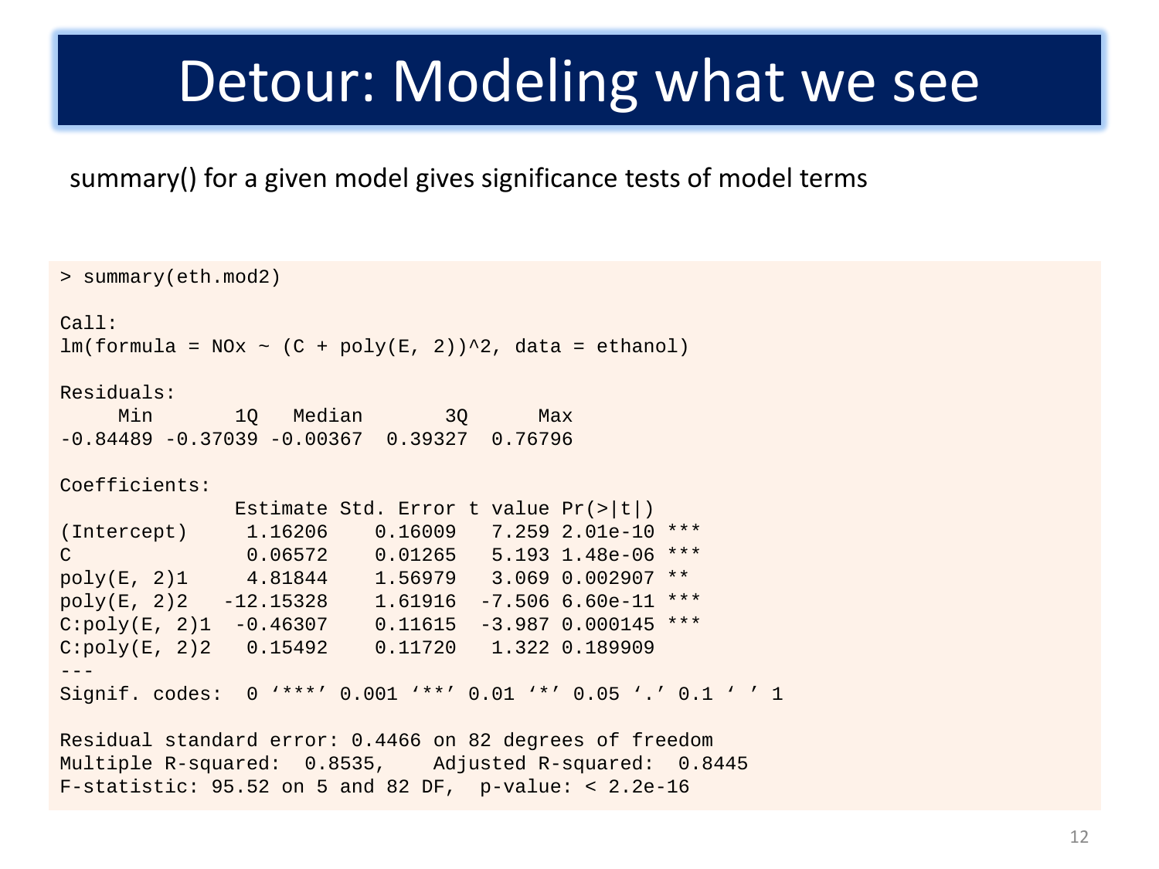#### Detour: Modeling what we see

summary() for a given model gives significance tests of model terms

```
> summary(eth.mod2)
Call:
lm(formula = NOx ~ (C + poly(E, 2))<sup>2</sup>, data = ethanol)
Residuals:
    Min 10 Median 30 Max
-0.84489 -0.37039 -0.00367 0.39327 0.76796 
Coefficients:
               Estimate Std. Error t value Pr(>|t|) 
(Intercept) 1.16206 0.16009 7.259 2.01e-10 ***<br>C 0.06572 0.01265 5.193 1.48e-06 ***
              0.06572  0.01265  5.193  1.48e-06 ***
poly(E, 2)1 4.81844 1.56979 3.069 0.002907 ** 
poly(E, 2)2 -12.15328 1.61916 -7.506 6.60e-11 ***
C:poly(E, 2)1 -0.46307 0.11615 -3.987 0.000145 ***
C:poly(E, 2)2 0.15492 0.11720 1.322 0.189909 
---
Signif. codes: 0 '***' 0.001 '**' 0.01 '*' 0.05 '.' 0.1 ' ' 1
Residual standard error: 0.4466 on 82 degrees of freedom
```
Multiple R-squared: 0.8535, Adjusted R-squared: 0.8445 F-statistic: 95.52 on 5 and 82 DF, p-value: < 2.2e-16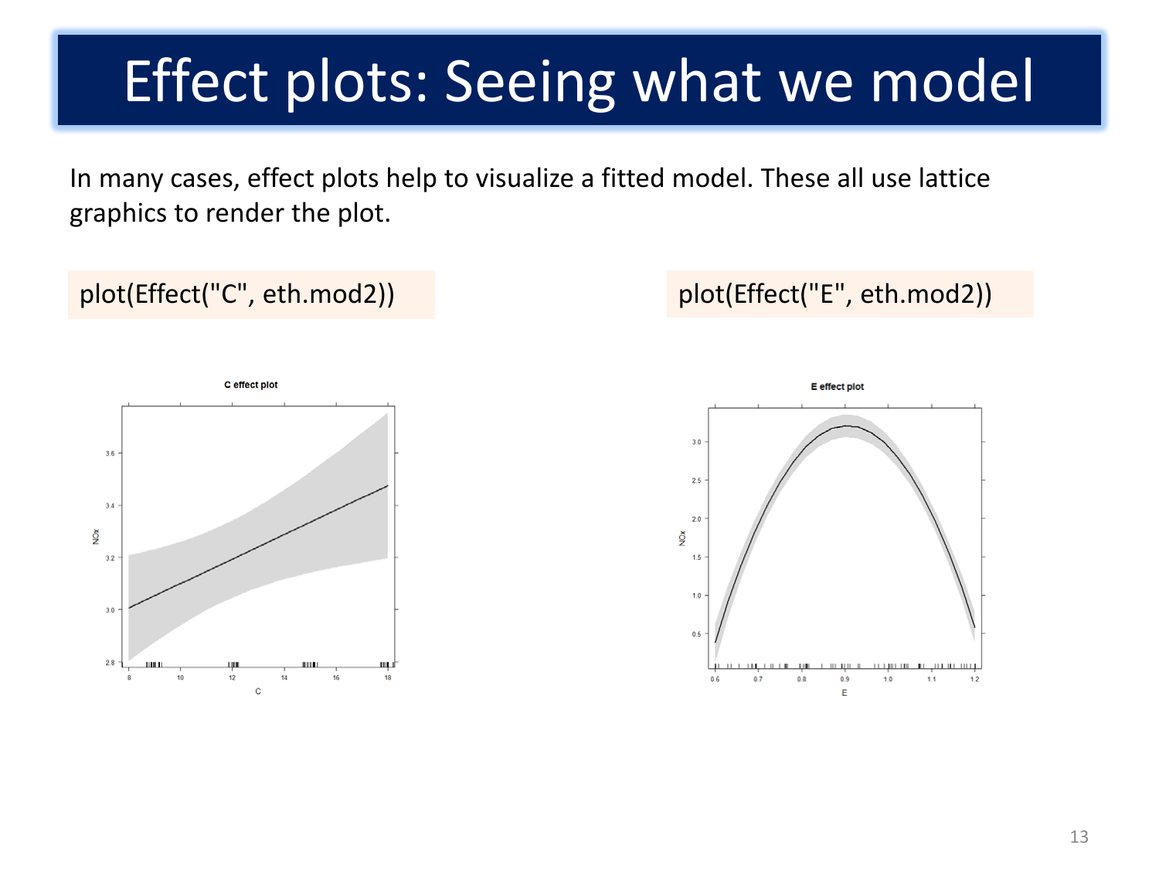## Effect plots: Seeing what we model

In many cases, effect plots help to visualize a fitted model. These all use lattice graphics to render the plot.

#### plot(Effect("C", eth.mod2)) plot(Effect("E", eth.mod2))



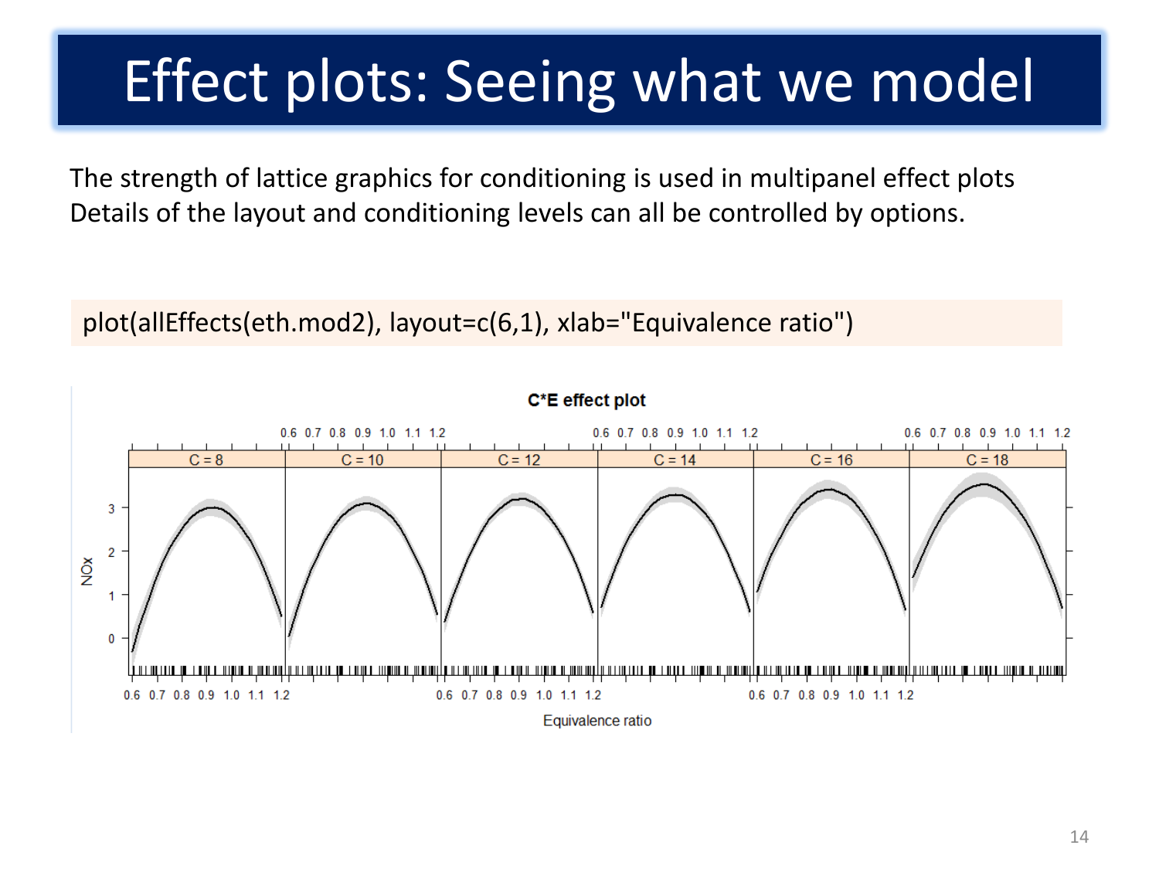# Effect plots: Seeing what we model

The strength of lattice graphics for conditioning is used in multipanel effect plots Details of the layout and conditioning levels can all be controlled by options.

plot(allEffects(eth.mod2), layout=c(6,1), xlab="Equivalence ratio")

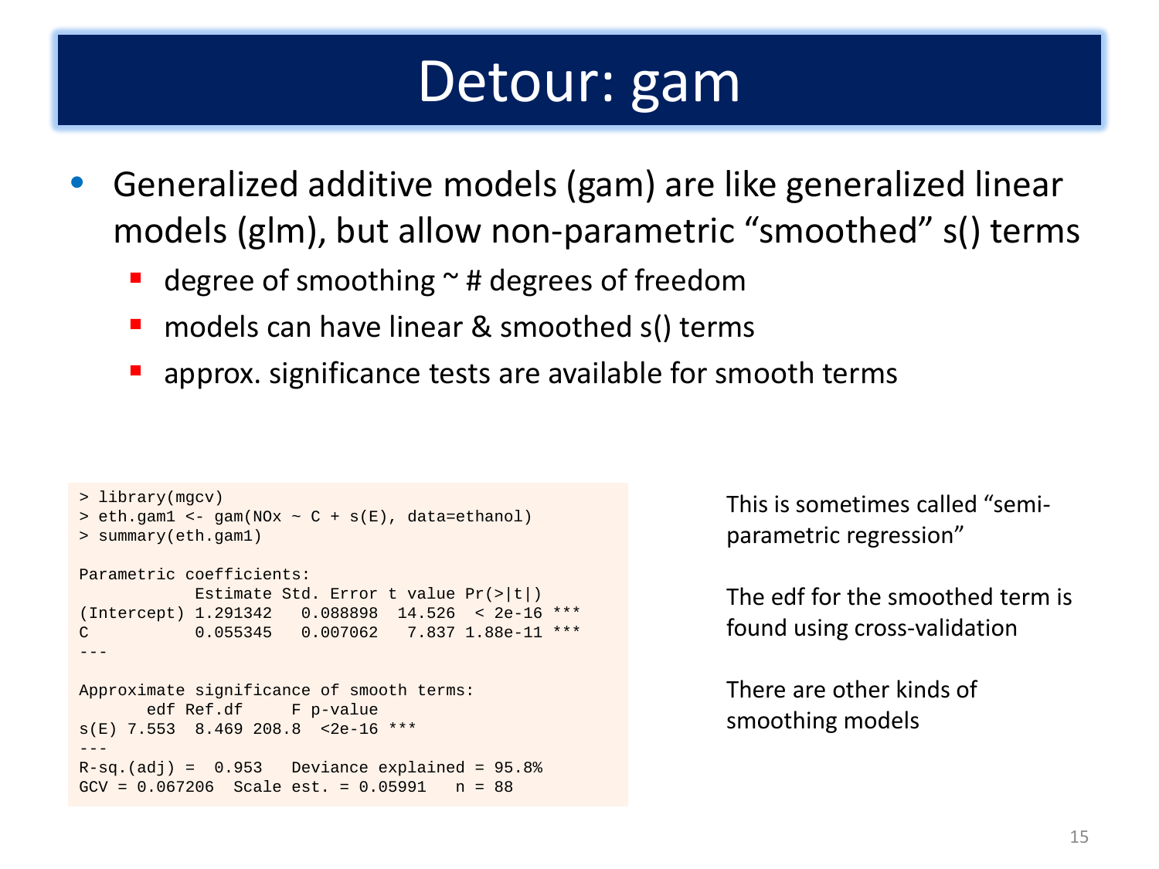#### Detour: gam

- Generalized additive models (gam) are like generalized linear models (glm), but allow non-parametric "smoothed" s() terms
	- degree of smoothing  $\sim$  # degrees of freedom
	- models can have linear & smoothed s() terms
	- **E** approx. significance tests are available for smooth terms

```
> library(mgcv)
> eth.gam1 <- gam(NOx \sim C + s(E), data=ethanol)
> summary(eth.gam1)
Parametric coefficients:
            Estimate Std. Error t value Pr(>|t|) 
(Intercept) 1.291342 0.088898 14.526 < 2e-16 ***
C 0.055345 0.007062 7.837 1.88e-11 ***
---
Approximate significance of smooth terms:
      edf Ref.df F p-value
s(E) 7.553 8.469 208.8 <2e-16 ***
---
R-sq.(adj) = 0.953 Deviance explained = 95.8%GCV = 0.067206 Scale est. = 0.05991 n = 88
```
This is sometimes called "semiparametric regression"

The edf for the smoothed term is found using cross-validation

There are other kinds of smoothing models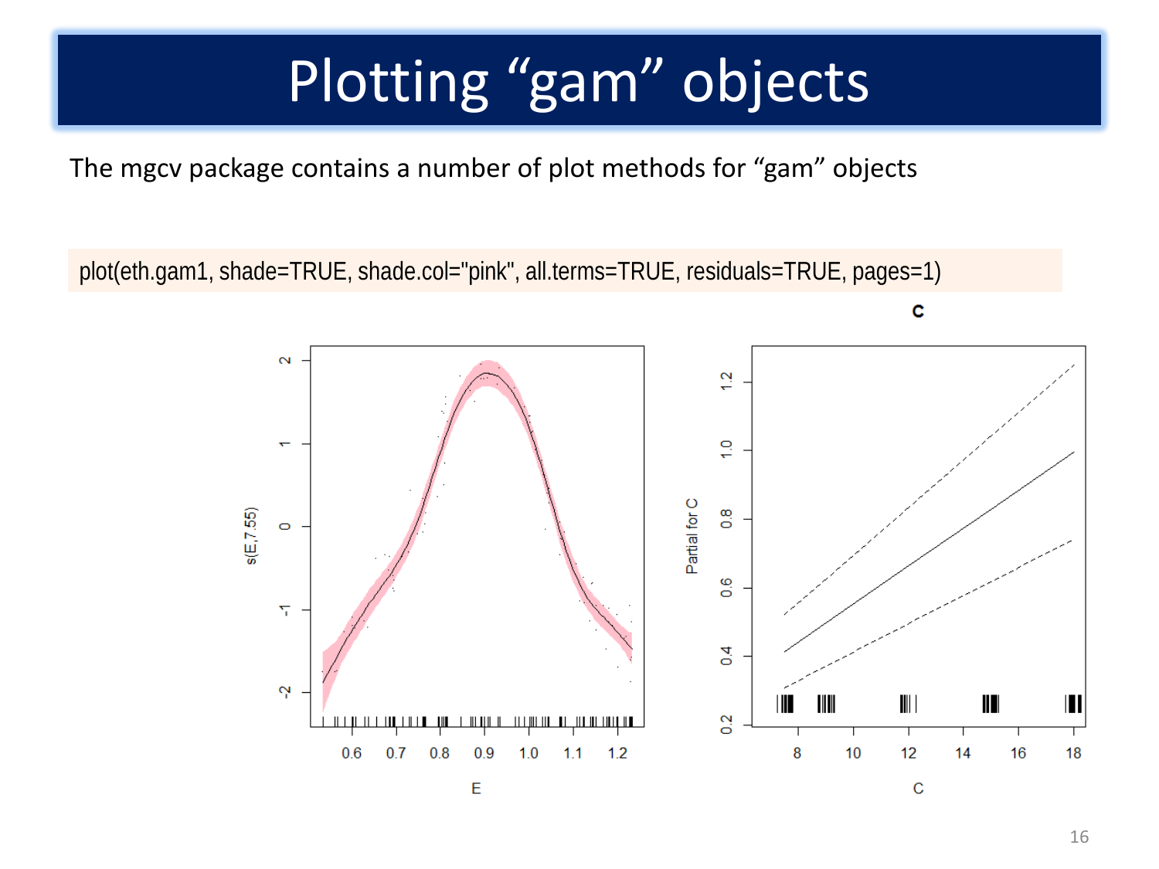# Plotting "gam" objects

The mgcv package contains a number of plot methods for "gam" objects

plot(eth.gam1, shade=TRUE, shade.col="pink", all.terms=TRUE, residuals=TRUE, pages=1)

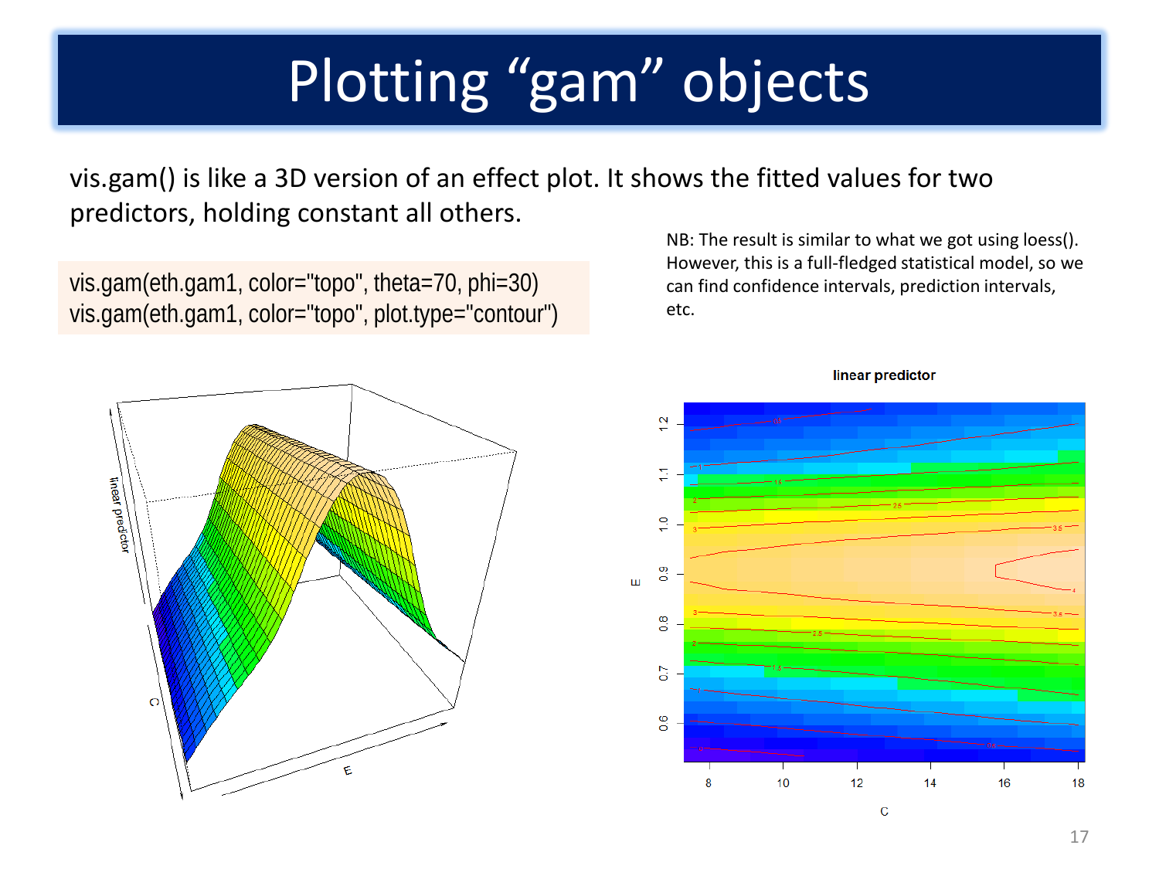# Plotting "gam" objects

vis.gam() is like a 3D version of an effect plot. It shows the fitted values for two predictors, holding constant all others.

vis.gam(eth.gam1, color="topo", theta=70, phi=30) vis.gam(eth.gam1, color="topo", plot.type="contour")

NB: The result is similar to what we got using loess(). However, this is a full-fledged statistical model, so we can find confidence intervals, prediction intervals, etc.





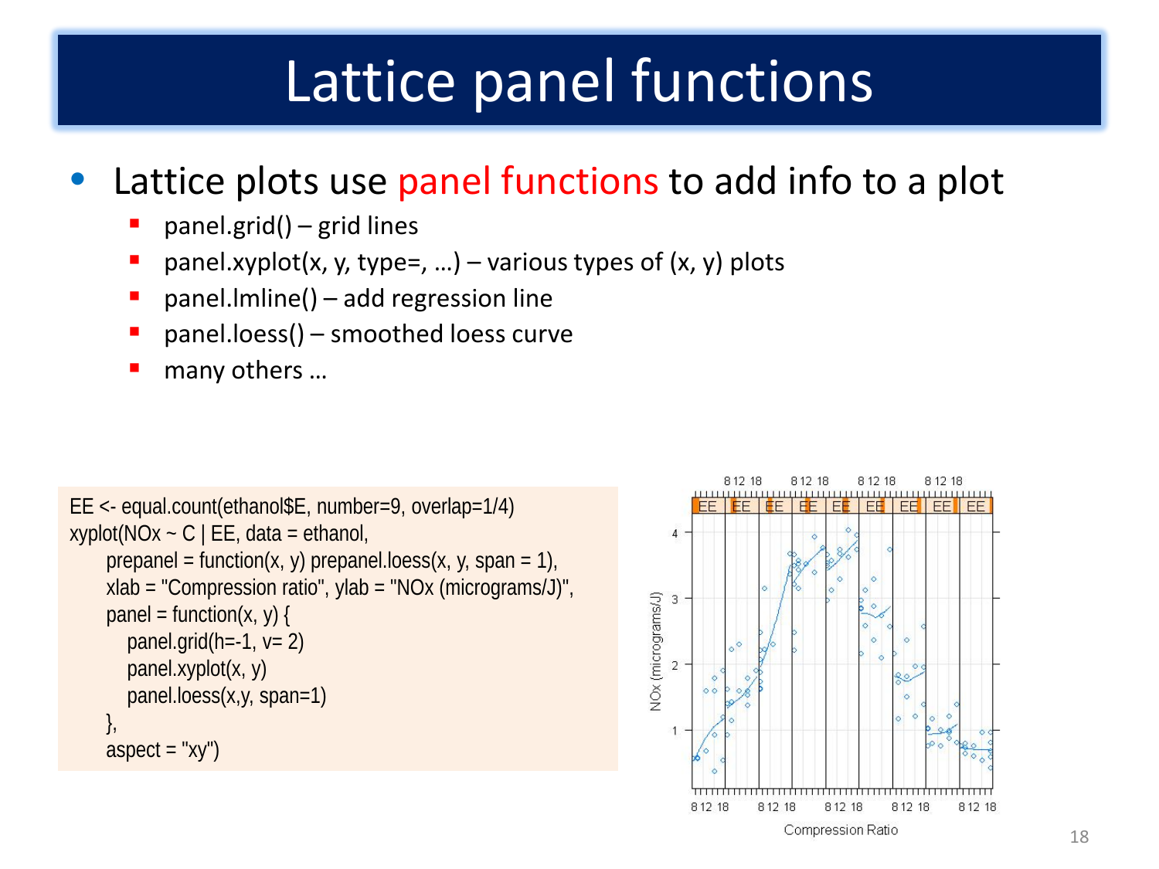# Lattice panel functions

#### Lattice plots use panel functions to add info to a plot

- panel.grid() grid lines
- **P** panel.xyplot(x, y, type=, ...) various types of  $(x, y)$  plots
- **panel.** Imline() add regression line
- **P** panel.loess() smoothed loess curve
- many others ...

```
EE <- equal.count(ethanol$E, number=9, overlap=1/4)
xyplot(NOx - C | EE, data = ethanol,prepanel = function(x, y) prepanel.loess(x, y, span = 1),
     xlab = "Compression ratio", ylab = "NOx (micrograms/J)",
    panel = function(x, y) {
       panel.grid(h=-1, v=2)
        panel.xyplot(x, y)
        panel.loess(x,y, span=1)
     },
    aspect = "xy")
```
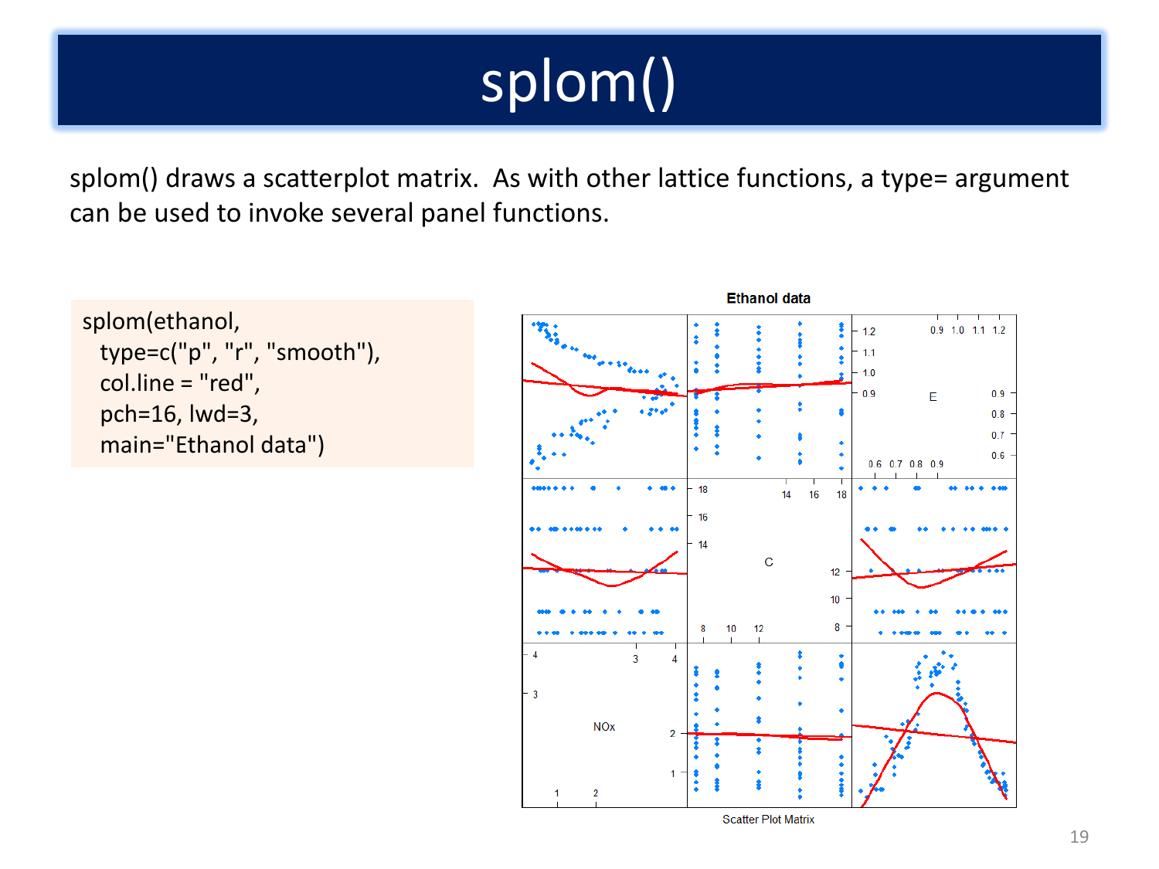# splom()

splom() draws a scatterplot matrix. As with other lattice functions, a type= argument can be used to invoke several panel functions.

```
splom(ethanol, 
  type=c("p", "r", "smooth"), 
  col.line = "red", 
  pch=16, lwd=3, 
  main="Ethanol data")
```
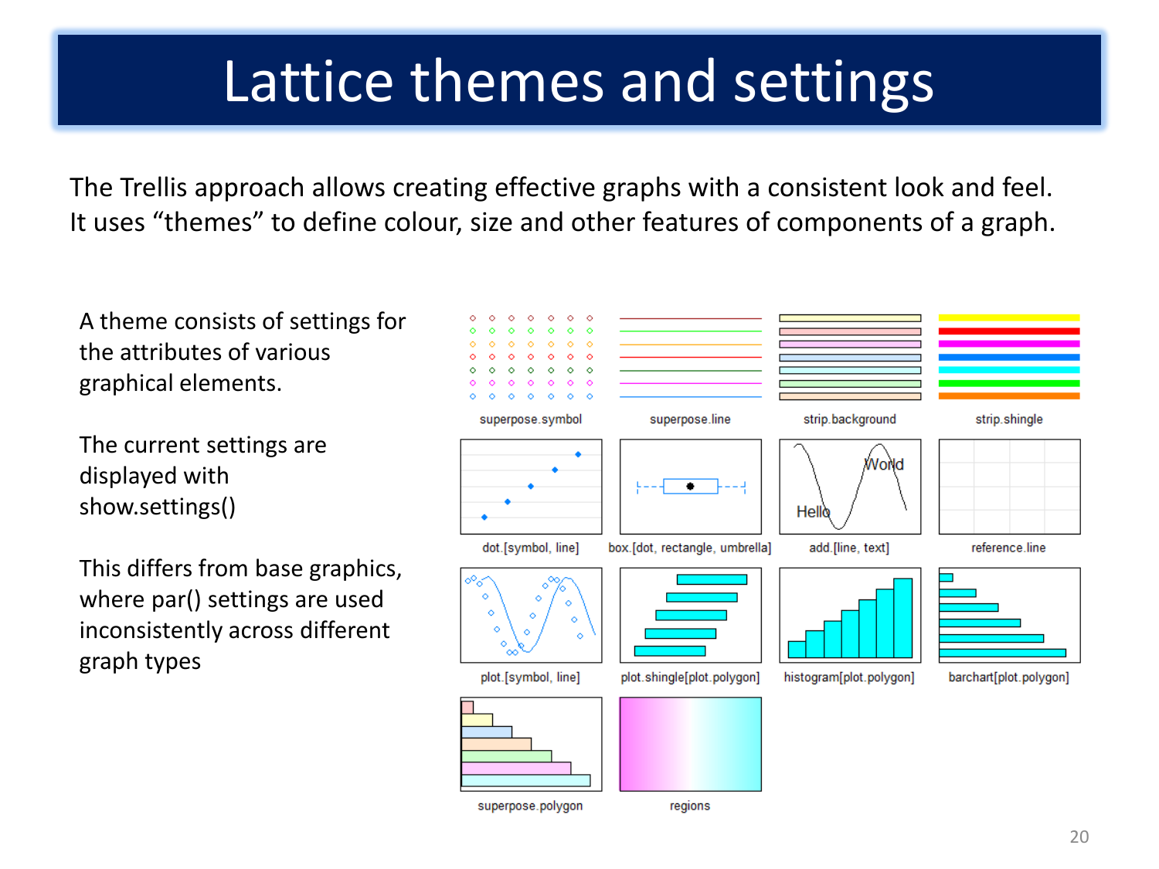### Lattice themes and settings

The Trellis approach allows creating effective graphs with a consistent look and feel. It uses "themes" to define colour, size and other features of components of a graph.

A theme consists of settings for the attributes of various graphical elements.

The current settings are displayed with show.settings()

This differs from base graphics, where par() settings are used inconsistently across different graph types



superpose.polygon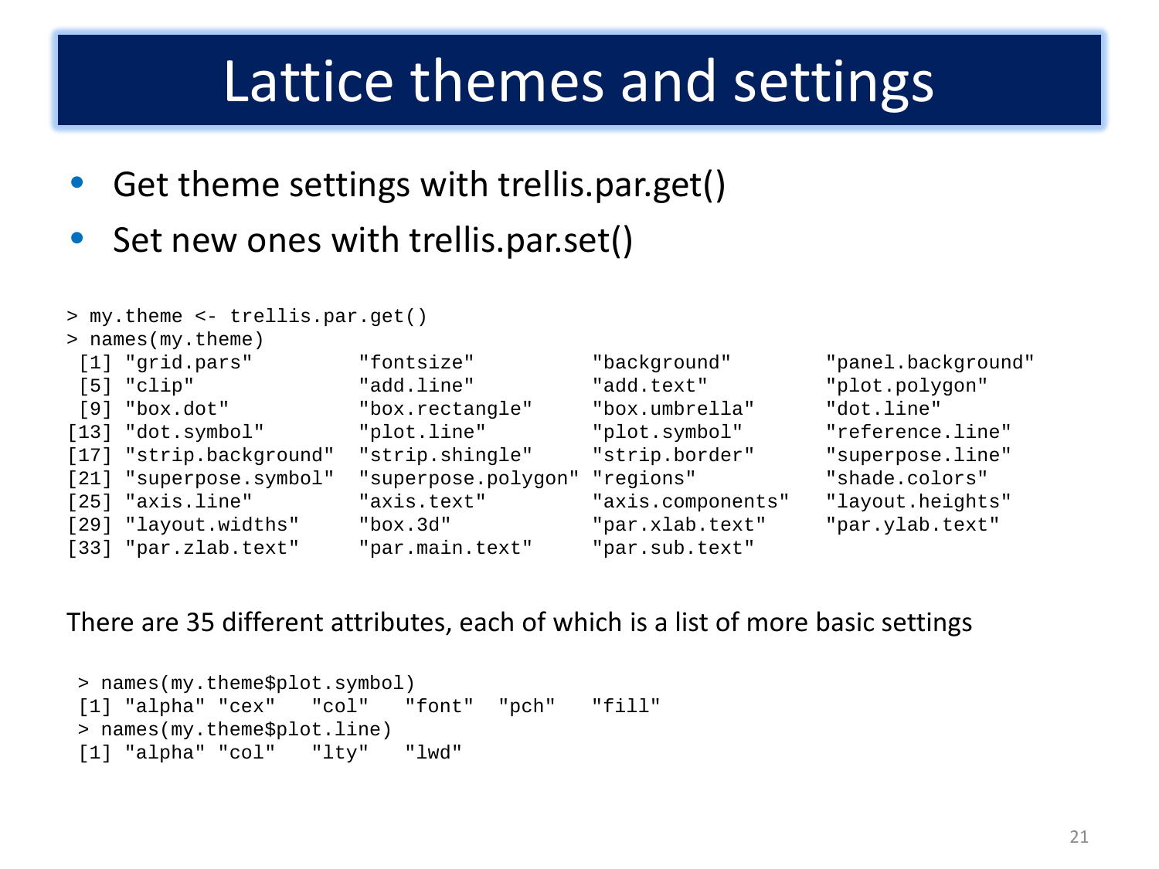### Lattice themes and settings

- Get theme settings with trellis.par.get()
- Set new ones with trellis.par.set()

```
> my.theme <- trellis.par.get()
> names(my.theme)
 [1] "grid.pars" "fontsize" "background" "panel.background" 
                                                                         "plot.polygon"
 [9] "box.dot" "box.rectangle" "box.umbrella" "dot.line" 
[13] "dot.symbol" "plot.line" "plot.symbol" "reference.line"<br>[17] "strip.background" "strip.shingle" "strip.border" "superpose.line"
[17] "strip.background" "strip.shingle" "strip.border" "superpose.lin<br>[21] "superpose.symbol" "superpose.polygon" "regions" "shade.colors"
[21] "superpose.symbol" "superpose.polygon" "regions" "shade.colors" 
                                                  "axis.components" "layout.heights"
[29] "layout.widths" "box.3d" "par.xlab.text" "par.ylab.text" 
[33] "par.zlab.text" "par.main.text" "par.sub.text"
```
#### There are 35 different attributes, each of which is a list of more basic settings

```
%> names(my.theme$plot.symbol)<br>[1] "alpha" "cex" "col" "font"
[1] "alpha" "cex" "col" "font" "pch" "fill" 
> names(my.theme$plot.line)<br>[1] "alpha" "col" "ltv"
[1] "alpha" "col" "lty" "lwd"
```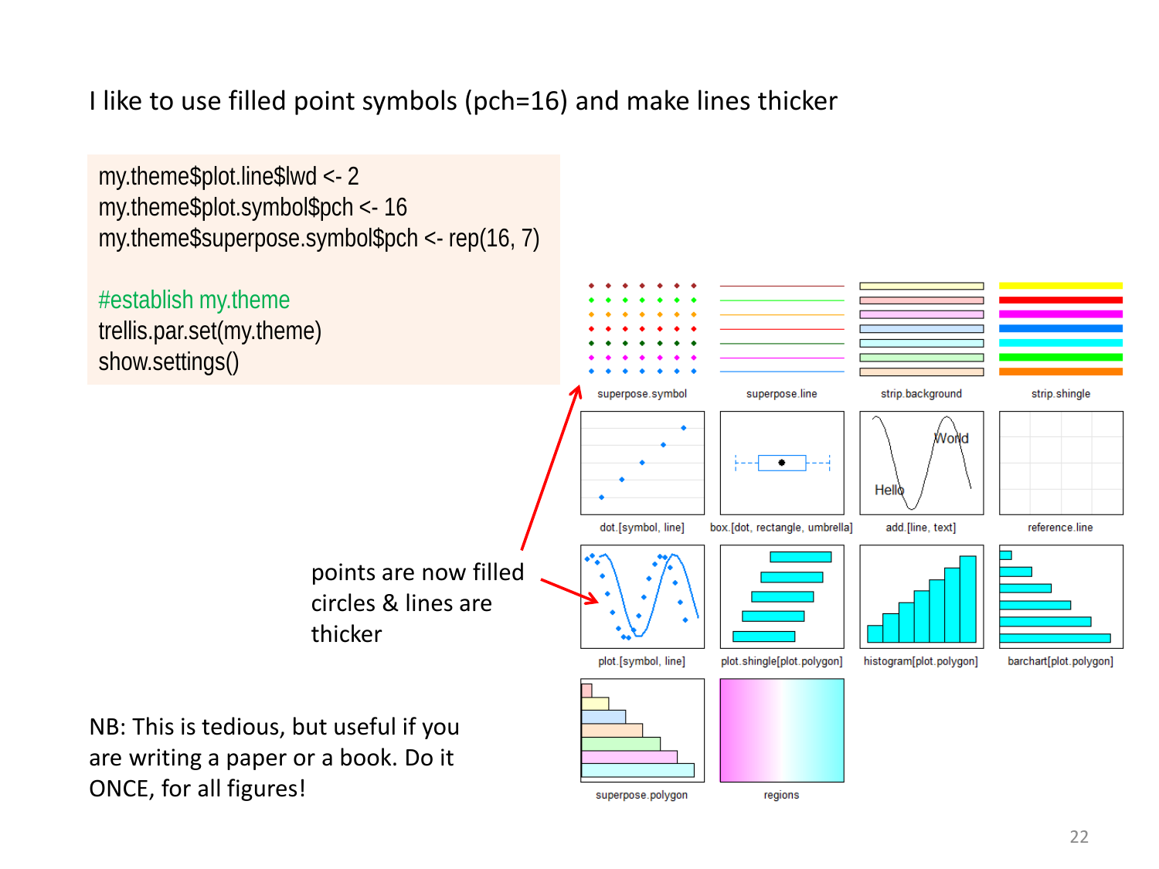#### I like to use filled point symbols (pch=16) and make lines thicker

my.theme\$plot.line\$lwd <- 2 my.theme\$plot.symbol\$pch <- 16 my.theme\$superpose.symbol\$pch <- rep(16, 7)

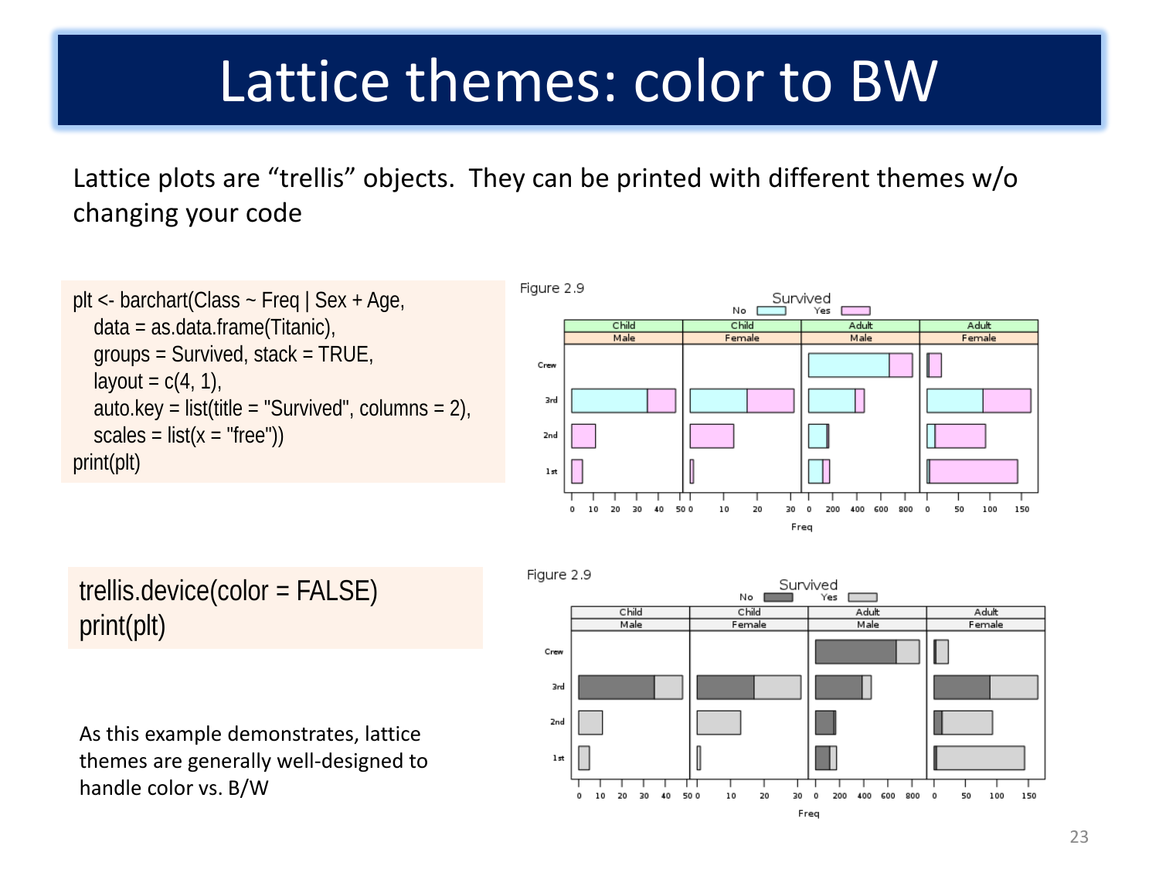### Lattice themes: color to BW

Lattice plots are "trellis" objects. They can be printed with different themes w/o changing your code

```
plt <- barchart(Class ~ Freq | Sex + Age, 
   data = as.data.frame(Titanic), 
   groups = Survived, stack = TRUE, 
  layout = c(4, 1),
  auto.key = list(title = "Survived", columns = 2),
  scales = list(x = "free")print(plt)
```


#### trellis.device(color = FALSE) print(plt)

As this example demonstrates, lattice themes are generally well-designed to handle color vs. B/W

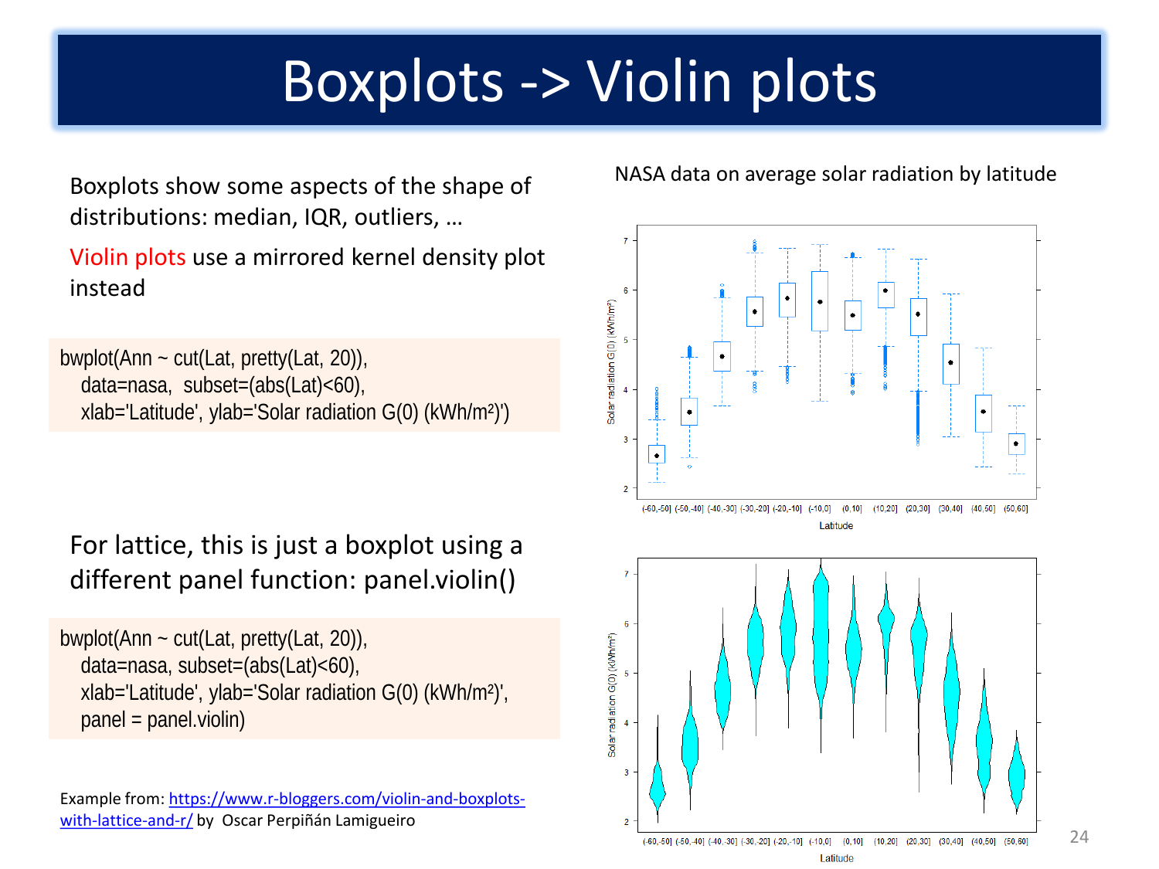# Boxplots -> Violin plots

Boxplots show some aspects of the shape of distributions: median, IQR, outliers, …

Violin plots use a mirrored kernel density plot instead

bwplot(Ann ~ cut(Lat, pretty(Lat, 20)), data=nasa, subset=(abs(Lat)<60), xlab='Latitude', ylab='Solar radiation G(0) (kWh/m²)')

For lattice, this is just a boxplot using a different panel function: panel.violin()

bwplot(Ann ~ cut(Lat, pretty(Lat, 20)), data=nasa, subset=(abs(Lat)<60), xlab='Latitude', ylab='Solar radiation G(0) (kWh/m²)', panel = panel.violin)

Example from: [https://www.r-bloggers.com/violin-and-boxplots](https://www.r-bloggers.com/violin-and-boxplots-with-lattice-and-r/)[with-lattice-and-r/](https://www.r-bloggers.com/violin-and-boxplots-with-lattice-and-r/) by Oscar Perpiñán Lamigueiro

#### NASA data on average solar radiation by latitude

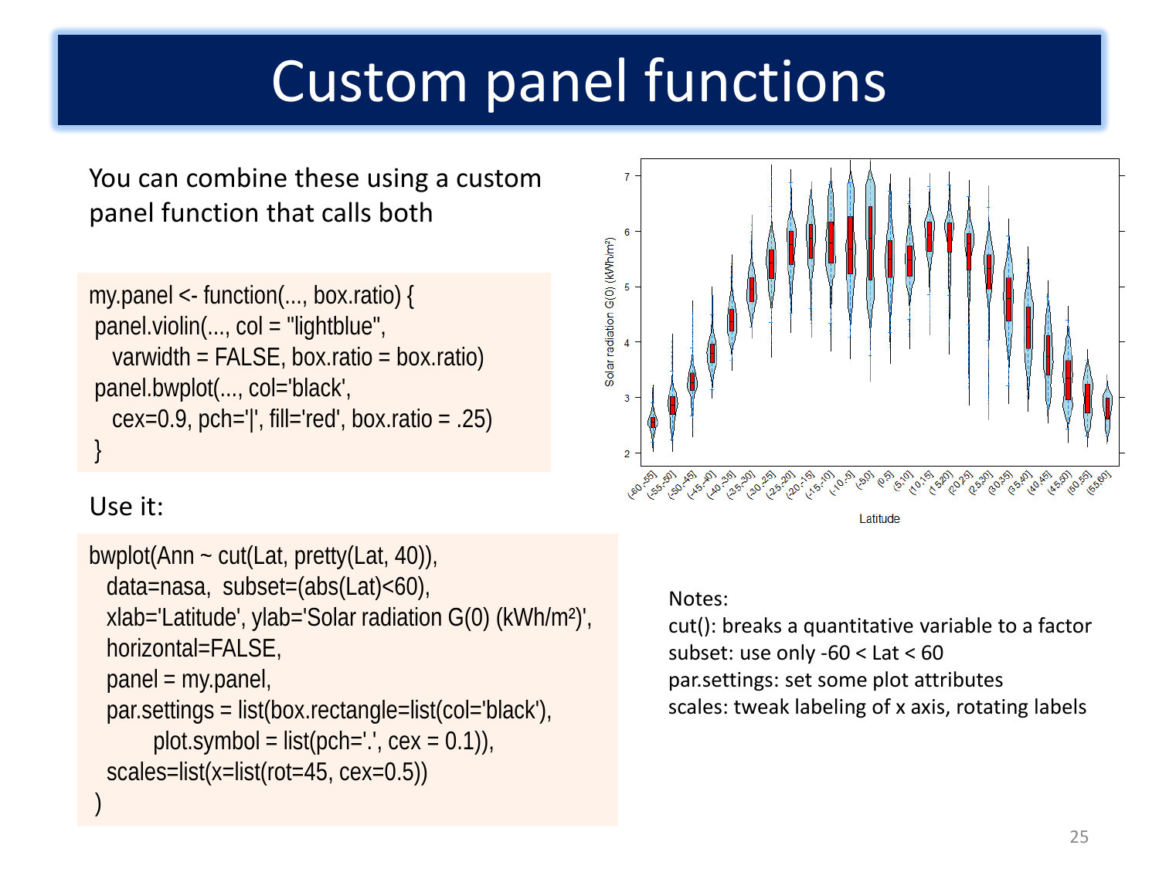# Custom panel functions

You can combine these using a custom panel function that calls both

```
my.panel <- function(..., box.ratio) {
panel.violin(..., col = "lightblue",
   varwidth = FALSE, box.ratio = box.ratio)
panel.bwplot(..., col='black',
  cex=0.9, pch='|', fill='red', box.ratio = .25)
}
```
# Solar radiation G(0) (kWh/m<sup>2</sup>)  $\overline{3}$  $\overline{2}$

#### Use it:

```
bwplot(Ann \sim cut(Lat, pretty(Lat, 40)),
  data=nasa, subset=(abs(Lat)<60),
  xlab='Latitude', ylab='Solar radiation G(0) (kWh/m²)',
  horizontal=FALSE,
  panel = my.panel, 
  par.settings = list(box.rectangle=list(col='black'),
       plot.symbol = list(pch='.', cex = 0.1)),
  scales=list(x=list(rot=45, cex=0.5))
)
```
#### I afitude

#### Notes:

cut(): breaks a quantitative variable to a factor subset: use only -60 < Lat < 60 par.settings: set some plot attributes scales: tweak labeling of x axis, rotating labels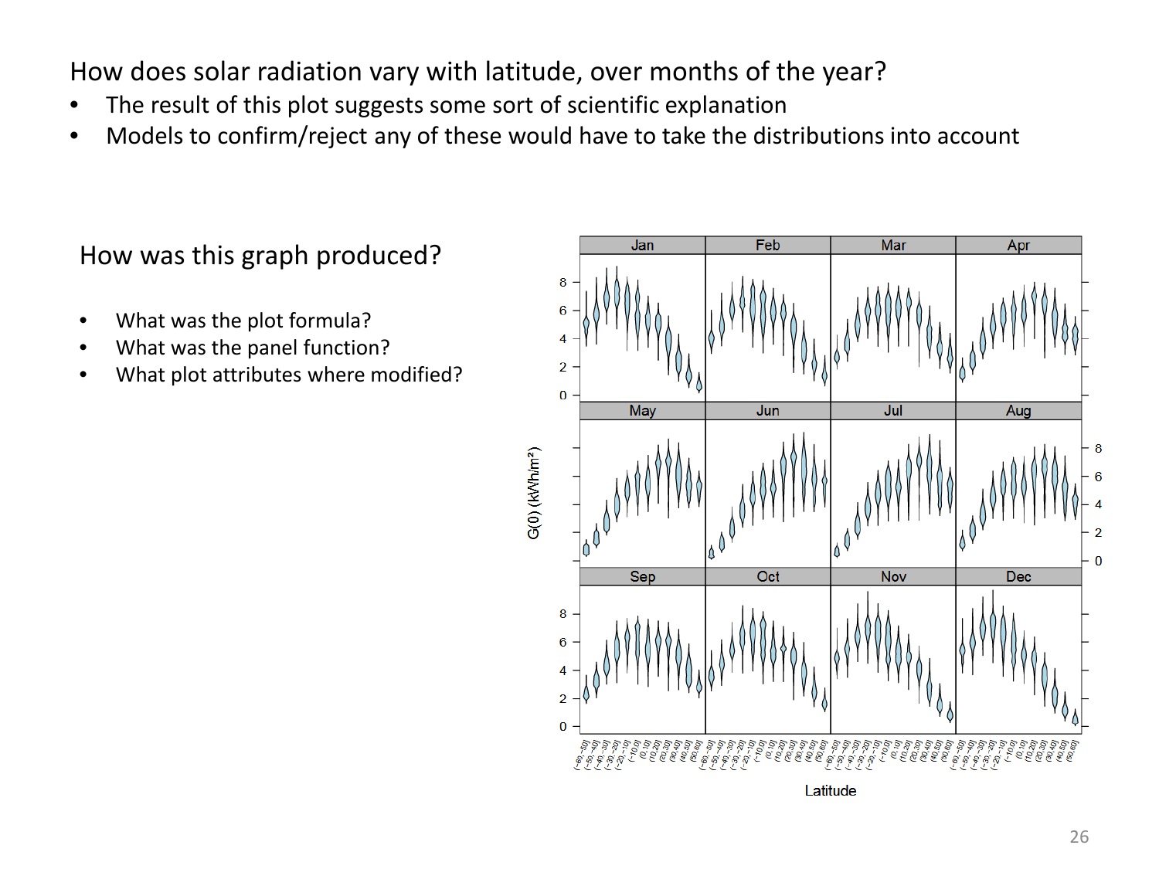How does solar radiation vary with latitude, over months of the year?

- The result of this plot suggests some sort of scientific explanation
- Models to confirm/reject any of these would have to take the distributions into account

How was this graph produced?

- What was the plot formula?
- What was the panel function?
- What plot attributes where modified?

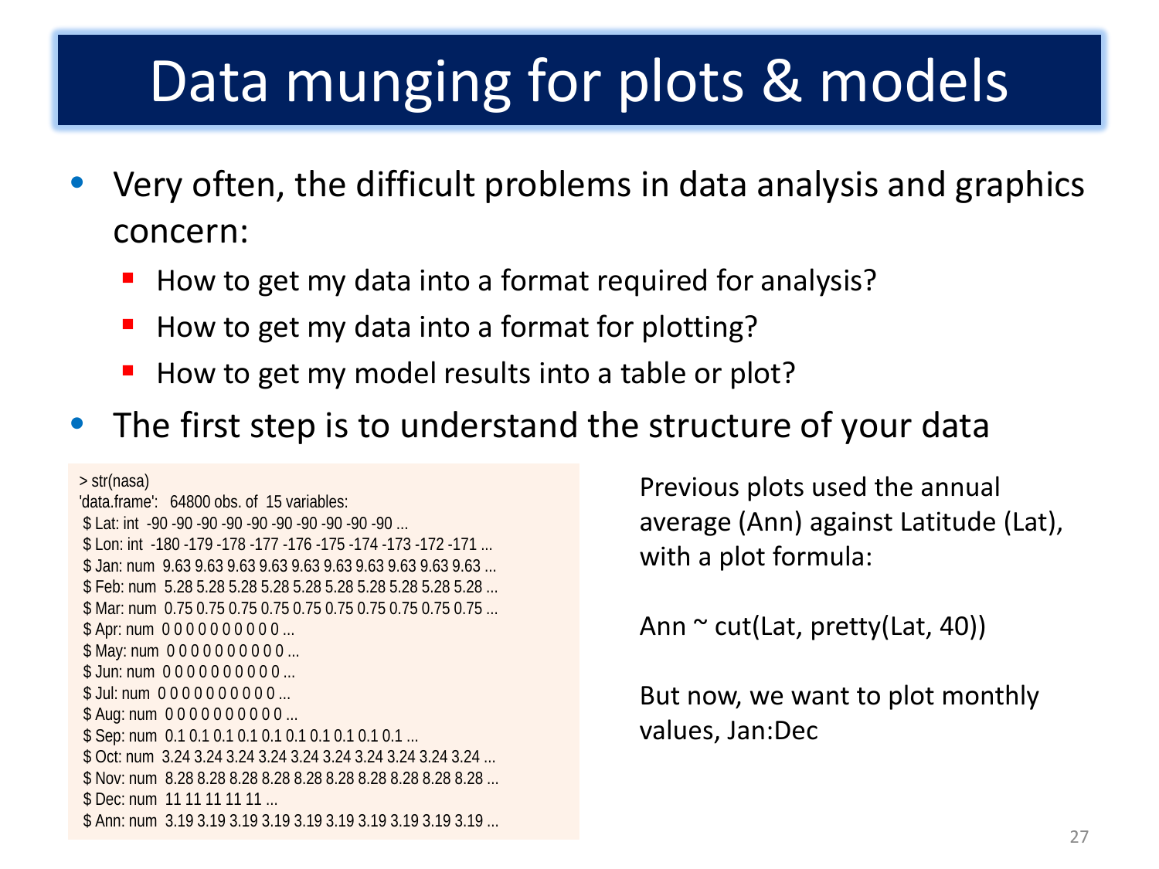# Data munging for plots & models

- Very often, the difficult problems in data analysis and graphics concern:
	- How to get my data into a format required for analysis?
	- How to get my data into a format for plotting?
	- How to get my model results into a table or plot?
- The first step is to understand the structure of your data

> str(nasa) 'data.frame': 64800 obs. of 15 variables: \$ Lat: int -90 -90 -90 -90 -90 -90 -90 -90 -90 -90 ... \$ Lon: int -180 -179 -178 -177 -176 -175 -174 -173 -172 -171 ... \$ Jan: num 9.63 9.63 9.63 9.63 9.63 9.63 9.63 9.63 9.63 9.63 ... \$ Feb: num 5.28 5.28 5.28 5.28 5.28 5.28 5.28 5.28 5.28 5.28 ... \$ Mar: num 0.75 0.75 0.75 0.75 0.75 0.75 0.75 0.75 0.75 0.75 ... \$ Apr: num 000000000 ... \$ May: num 000000000 ... \$ Jun: num 000000000 ... \$ Jul: num 0000000000 ... \$ Aug: num 000000000 ... \$ Sep: num 0.1 0.1 0.1 0.1 0.1 0.1 0.1 0.1 0.1 0.1 ... \$ Oct: num 3.24 3.24 3.24 3.24 3.24 3.24 3.24 3.24 3.24 3.24 ... \$ Nov: num 8.28 8.28 8.28 8.28 8.28 8.28 8.28 8.28 8.28 8.28 ... \$ Dec: num 11 11 11 11 11 ... \$ Ann: num 3.19 3.19 3.19 3.19 3.19 3.19 3.19 3.19 3.19 3.19 ...

Previous plots used the annual average (Ann) against Latitude (Lat), with a plot formula:

Ann  $\sim$  cut(Lat, pretty(Lat, 40))

But now, we want to plot monthly values, Jan:Dec